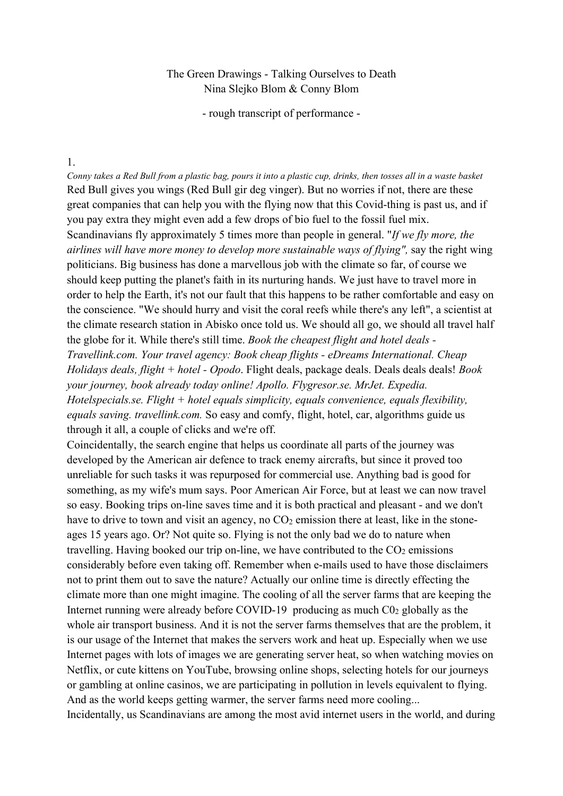## The Green Drawings - Talking Ourselves to Death Nina Slejko Blom & Conny Blom

- rough transcript of performance -

#### 1.

*Conny takes a Red Bull from a plastic bag, pours it into a plastic cup, drinks, then tosses all in a waste basket*  Red Bull gives you wings (Red Bull gir deg vinger). But no worries if not, there are these great companies that can help you with the flying now that this Covid-thing is past us, and if you pay extra they might even add a few drops of bio fuel to the fossil fuel mix. Scandinavians fly approximately 5 times more than people in general. "*If we fly more, the airlines will have more money to develop more sustainable ways of flying",* say the right wing politicians. Big business has done a marvellous job with the climate so far, of course we should keep putting the planet's faith in its nurturing hands. We just have to travel more in order to help the Earth, it's not our fault that this happens to be rather comfortable and easy on the conscience. "We should hurry and visit the coral reefs while there's any left", a scientist at the climate research station in Abisko once told us. We should all go, we should all travel half the globe for it. While there's still time. *Book the cheapest flight and hotel deals - Travellink.com. Your travel agency: Book cheap flights - eDreams International. Cheap Holidays deals, flight + hotel - Opodo*. Flight deals, package deals. Deals deals deals! *Book your journey, book already today online! Apollo. Flygresor.se. MrJet. Expedia. Hotelspecials.se. Flight + hotel equals simplicity, equals convenience, equals flexibility, equals saving. travellink.com.* So easy and comfy, flight, hotel, car, algorithms guide us through it all, a couple of clicks and we're off.

Coincidentally, the search engine that helps us coordinate all parts of the journey was developed by the American air defence to track enemy aircrafts, but since it proved too unreliable for such tasks it was repurposed for commercial use. Anything bad is good for something, as my wife's mum says. Poor American Air Force, but at least we can now travel so easy. Booking trips on-line saves time and it is both practical and pleasant - and we don't have to drive to town and visit an agency, no  $CO<sub>2</sub>$  emission there at least, like in the stoneages 15 years ago. Or? Not quite so. Flying is not the only bad we do to nature when travelling. Having booked our trip on-line, we have contributed to the  $CO<sub>2</sub>$  emissions considerably before even taking off. Remember when e-mails used to have those disclaimers not to print them out to save the nature? Actually our online time is directly effecting the climate more than one might imagine. The cooling of all the server farms that are keeping the Internet running were already before COVID-19 producing as much  $C_0$  globally as the whole air transport business. And it is not the server farms themselves that are the problem, it is our usage of the Internet that makes the servers work and heat up. Especially when we use Internet pages with lots of images we are generating server heat, so when watching movies on Netflix, or cute kittens on YouTube, browsing online shops, selecting hotels for our journeys or gambling at online casinos, we are participating in pollution in levels equivalent to flying. And as the world keeps getting warmer, the server farms need more cooling...

Incidentally, us Scandinavians are among the most avid internet users in the world, and during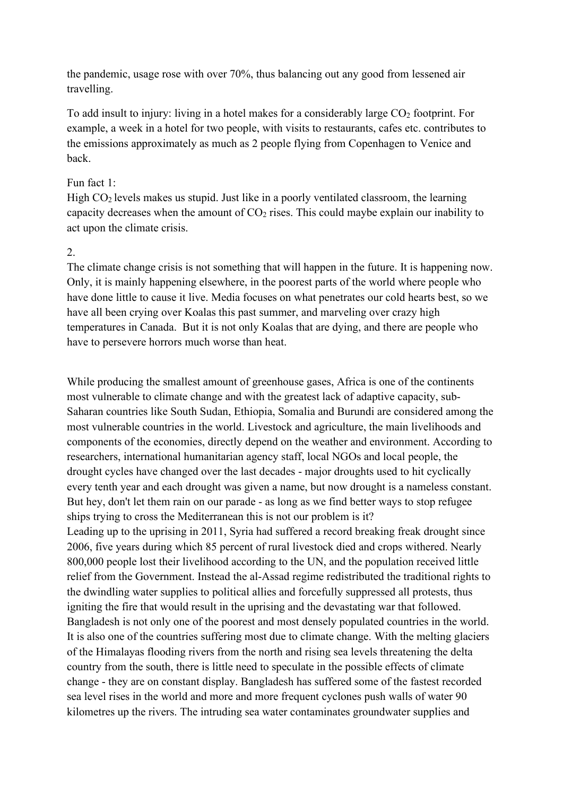the pandemic, usage rose with over 70%, thus balancing out any good from lessened air travelling.

To add insult to injury: living in a hotel makes for a considerably large CO<sub>2</sub> footprint. For example, a week in a hotel for two people, with visits to restaurants, cafes etc. contributes to the emissions approximately as much as 2 people flying from Copenhagen to Venice and back.

### Fun fact 1:

High  $CO<sub>2</sub>$  levels makes us stupid. Just like in a poorly ventilated classroom, the learning capacity decreases when the amount of  $CO<sub>2</sub>$  rises. This could maybe explain our inability to act upon the climate crisis.

# 2.

The climate change crisis is not something that will happen in the future. It is happening now. Only, it is mainly happening elsewhere, in the poorest parts of the world where people who have done little to cause it live. Media focuses on what penetrates our cold hearts best, so we have all been crying over Koalas this past summer, and marveling over crazy high temperatures in Canada. But it is not only Koalas that are dying, and there are people who have to persevere horrors much worse than heat.

While producing the smallest amount of greenhouse gases, Africa is one of the continents most vulnerable to climate change and with the greatest lack of adaptive capacity, sub-Saharan countries like South Sudan, Ethiopia, Somalia and Burundi are considered among the most vulnerable countries in the world. Livestock and agriculture, the main livelihoods and components of the economies, directly depend on the weather and environment. According to researchers, international humanitarian agency staff, local NGOs and local people, the drought cycles have changed over the last decades - major droughts used to hit cyclically every tenth year and each drought was given a name, but now drought is a nameless constant. But hey, don't let them rain on our parade - as long as we find better ways to stop refugee ships trying to cross the Mediterranean this is not our problem is it? Leading up to the uprising in 2011, Syria had suffered a record breaking freak drought since 2006, five years during which 85 percent of rural livestock died and crops withered. Nearly 800,000 people lost their livelihood according to the UN, and the population received little relief from the Government. Instead the al-Assad regime redistributed the traditional rights to the dwindling water supplies to political allies and forcefully suppressed all protests, thus igniting the fire that would result in the uprising and the devastating war that followed. Bangladesh is not only one of the poorest and most densely populated countries in the world. It is also one of the countries suffering most due to climate change. With the melting glaciers of the Himalayas flooding rivers from the north and rising sea levels threatening the delta country from the south, there is little need to speculate in the possible effects of climate change - they are on constant display. Bangladesh has suffered some of the fastest recorded sea level rises in the world and more and more frequent cyclones push walls of water 90 kilometres up the rivers. The intruding sea water contaminates groundwater supplies and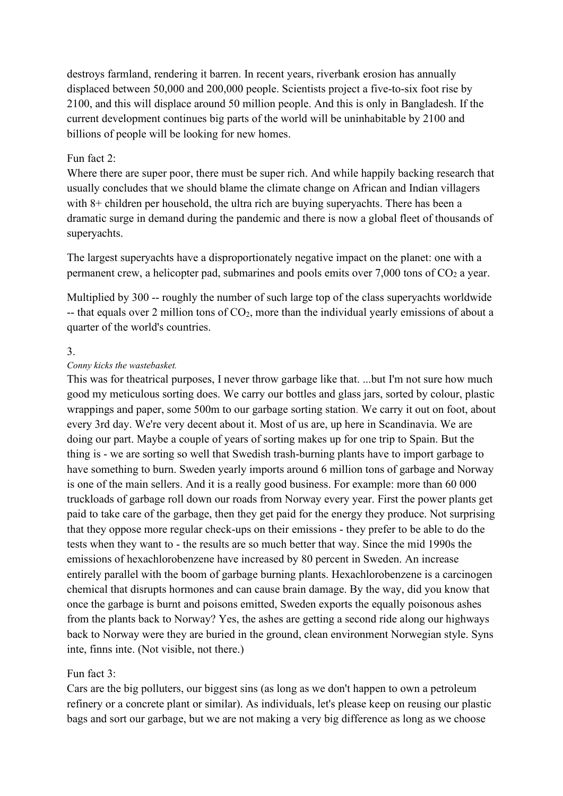destroys farmland, rendering it barren. In recent years, riverbank erosion has annually displaced between 50,000 and 200,000 people. Scientists project a five-to-six foot rise by 2100, and this will displace around 50 million people. And this is only in Bangladesh. If the current development continues big parts of the world will be uninhabitable by 2100 and billions of people will be looking for new homes.

## Fun fact 2:

Where there are super poor, there must be super rich. And while happily backing research that usually concludes that we should blame the climate change on African and Indian villagers with 8+ children per household, the ultra rich are buying superyachts. There has been a dramatic surge in demand during the pandemic and there is now a global fleet of thousands of superyachts.

The largest superyachts have a disproportionately negative impact on the planet: one with a permanent crew, a helicopter pad, submarines and pools emits over  $7,000$  tons of  $CO<sub>2</sub>$  a year.

Multiplied by 300 -- roughly the number of such large top of the class superyachts worldwide  $-$  that equals over 2 million tons of  $CO<sub>2</sub>$ , more than the individual yearly emissions of about a quarter of the world's countries.

### 3.

### *Conny kicks the wastebasket.*

This was for theatrical purposes, I never throw garbage like that. ...but I'm not sure how much good my meticulous sorting does. We carry our bottles and glass jars, sorted by colour, plastic wrappings and paper, some 500m to our garbage sorting station. We carry it out on foot, about every 3rd day. We're very decent about it. Most of us are, up here in Scandinavia. We are doing our part. Maybe a couple of years of sorting makes up for one trip to Spain. But the thing is - we are sorting so well that Swedish trash-burning plants have to import garbage to have something to burn. Sweden yearly imports around 6 million tons of garbage and Norway is one of the main sellers. And it is a really good business. For example: more than 60 000 truckloads of garbage roll down our roads from Norway every year. First the power plants get paid to take care of the garbage, then they get paid for the energy they produce. Not surprising that they oppose more regular check-ups on their emissions - they prefer to be able to do the tests when they want to - the results are so much better that way. Since the mid 1990s the emissions of hexachlorobenzene have increased by 80 percent in Sweden. An increase entirely parallel with the boom of garbage burning plants. Hexachlorobenzene is a carcinogen chemical that disrupts hormones and can cause brain damage. By the way, did you know that once the garbage is burnt and poisons emitted, Sweden exports the equally poisonous ashes from the plants back to Norway? Yes, the ashes are getting a second ride along our highways back to Norway were they are buried in the ground, clean environment Norwegian style. Syns inte, finns inte. (Not visible, not there.)

### Fun fact 3:

Cars are the big polluters, our biggest sins (as long as we don't happen to own a petroleum refinery or a concrete plant or similar). As individuals, let's please keep on reusing our plastic bags and sort our garbage, but we are not making a very big difference as long as we choose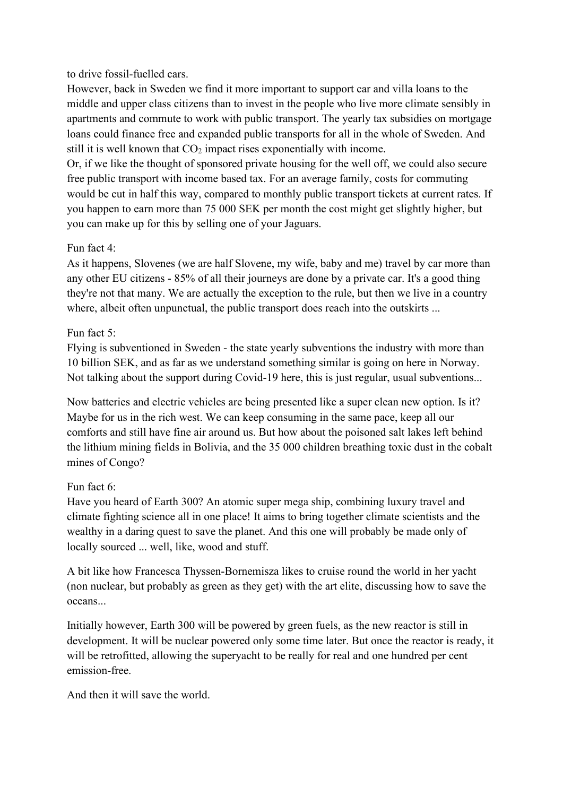## to drive fossil-fuelled cars.

However, back in Sweden we find it more important to support car and villa loans to the middle and upper class citizens than to invest in the people who live more climate sensibly in apartments and commute to work with public transport. The yearly tax subsidies on mortgage loans could finance free and expanded public transports for all in the whole of Sweden. And still it is well known that CO<sub>2</sub> impact rises exponentially with income.

Or, if we like the thought of sponsored private housing for the well off, we could also secure free public transport with income based tax. For an average family, costs for commuting would be cut in half this way, compared to monthly public transport tickets at current rates. If you happen to earn more than 75 000 SEK per month the cost might get slightly higher, but you can make up for this by selling one of your Jaguars.

# Fun fact 4:

As it happens, Slovenes (we are half Slovene, my wife, baby and me) travel by car more than any other EU citizens - 85% of all their journeys are done by a private car. It's a good thing they're not that many. We are actually the exception to the rule, but then we live in a country where, albeit often unpunctual, the public transport does reach into the outskirts ...

## Fun fact 5:

Flying is subventioned in Sweden - the state yearly subventions the industry with more than 10 billion SEK, and as far as we understand something similar is going on here in Norway. Not talking about the support during Covid-19 here, this is just regular, usual subventions...

Now batteries and electric vehicles are being presented like a super clean new option. Is it? Maybe for us in the rich west. We can keep consuming in the same pace, keep all our comforts and still have fine air around us. But how about the poisoned salt lakes left behind the lithium mining fields in Bolivia, and the 35 000 children breathing toxic dust in the cobalt mines of Congo?

### Fun fact 6:

Have you heard of Earth 300? An atomic super mega ship, combining luxury travel and climate fighting science all in one place! It aims to bring together climate scientists and the wealthy in a daring quest to save the planet. And this one will probably be made only of locally sourced ... well, like, wood and stuff.

A bit like how Francesca Thyssen-Bornemisza likes to cruise round the world in her yacht (non nuclear, but probably as green as they get) with the art elite, discussing how to save the oceans...

Initially however, Earth 300 will be powered by green fuels, as the new reactor is still in development. It will be nuclear powered only some time later. But once the reactor is ready, it will be retrofitted, allowing the superyacht to be really for real and one hundred per cent emission-free.

And then it will save the world.